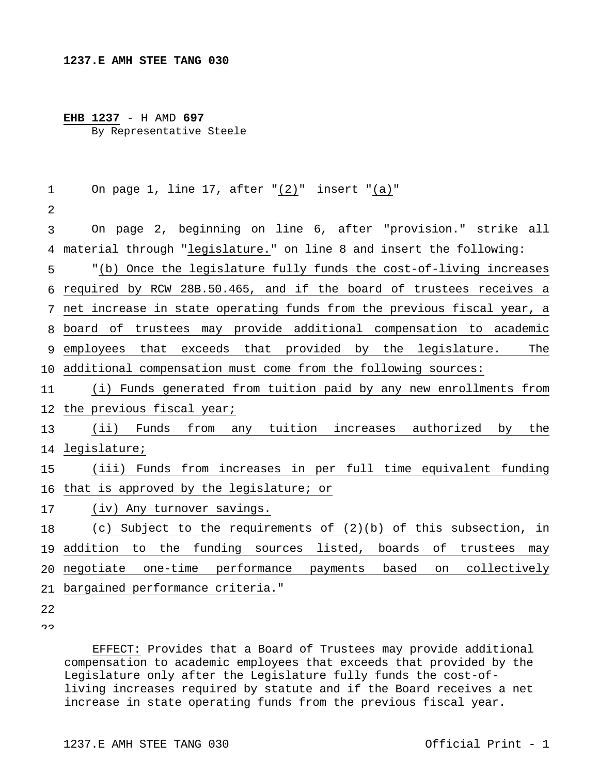## **EHB 1237** - H AMD **697** By Representative Steele

```
1 
 2 
 3 
 4 
material through "legislature." on line 8 and insert the following: 
 5 
 6 
required by RCW 28B.50.465, and if the board of trustees receives a 
 7 
net increase in state operating funds from the previous fiscal year, a 
 8 
board of trustees may provide additional compensation to academic 
 9 employees that exceeds that provided by the legislature. The
10 
additional compensation must come from the following sources: 
11 
12 
the previous fiscal year; 
13 
14 
legislature; 
15 
16 
that is approved by the legislature; or 
17 
18 
19 addition to the funding sources listed, boards of trustees may
20 
negotiate one-time performance payments based on collectively 
21 
bargained performance criteria." 
22 
        On page 1, line 17, after "(2)" insert "(a)" 
        On page 2, beginning on line 6, after "provision." strike all 
        "(b) Once the legislature fully funds the cost-of-living increases 
        (i) Funds generated from tuition paid by any new enrollments from 
        (ii) Funds from any tuition increases authorized by the 
        (iii) Funds from increases in per full time equivalent funding 
        (iv) Any turnover savings. 
        (c) Subject to the requirements of (2)(b) of this subsection, in
```
 $\cap$ 

 EFFECT: Provides that a Board of Trustees may provide additional compensation to academic employees that exceeds that provided by the Legislature only after the Legislature fully funds the cost-ofliving increases required by statute and if the Board receives a net increase in state operating funds from the previous fiscal year.